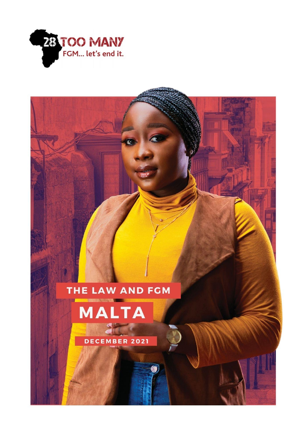





DECEMBER 2021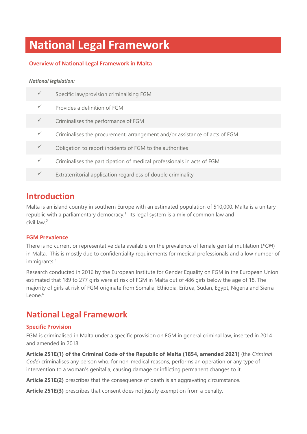# **National Legal Framework**

#### **Overview of National Legal Framework in Malta**

#### *National legislation:*

| Specific law/provision criminalising FGM                                   |
|----------------------------------------------------------------------------|
| Provides a definition of FGM                                               |
| Criminalises the performance of FGM                                        |
| Criminalises the procurement, arrangement and/or assistance of acts of FGM |
| Obligation to report incidents of FGM to the authorities                   |
| Criminalises the participation of medical professionals in acts of FGM     |
| Extraterritorial application regardless of double criminality              |

### **Introduction**

Malta is an island country in southern Europe with an estimated population of 510,000. Malta is a unitary republic with a parliamentary democracy.<sup>1</sup> Its legal system is a mix of common law and civil law. 2

#### **FGM Prevalence**

There is no current or representative data available on the prevalence of female genital mutilation (*FGM*) in Malta. This is mostly due to confidentiality requirements for medical professionals and a low number of immigrants. 3

Research conducted in 2016 by the European Institute for Gender Equality on FGM in the European Union estimated that 189 to 277 girls were at risk of FGM in Malta out of 486 girls below the age of 18. The majority of girls at risk of FGM originate from Somalia, Ethiopia, Eritrea, Sudan, Egypt, Nigeria and Sierra Leone. 4

### **National Legal Framework**

#### **Specific Provision**

FGM is criminalised in Malta under a specific provision on FGM in general criminal law, inserted in 2014 and amended in 2018.

**Article 251E(1) of the Criminal Code of the Republic of Malta (1854, amended 2021)** (the *Criminal Code*) criminalises any person who, for non-medical reasons, performs an operation or any type of intervention to a woman's genitalia, causing damage or inflicting permanent changes to it.

**Article 251E(2)** prescribes that the consequence of death is an aggravating circumstance.

**Article 251E(3)** prescribes that consent does not justify exemption from a penalty.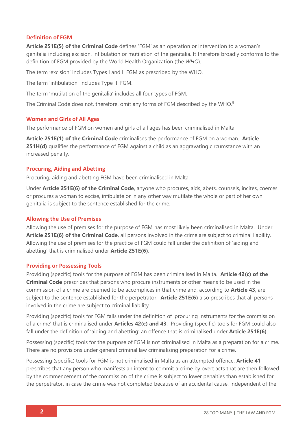#### **Definition of FGM**

**Article 251E(5) of the Criminal Code** defines 'FGM' as an operation or intervention to a woman's genitalia including excision, infibulation or mutilation of the genitalia. It therefore broadly conforms to the definition of FGM provided by the World Health Organization (the *WHO*).

The term 'excision' includes Types I and II FGM as prescribed by the WHO.

The term 'infibulation' includes Type III FGM.

The term 'mutilation of the genitalia' includes all four types of FGM.

The Criminal Code does not, therefore, omit any forms of FGM described by the WHO.<sup>5</sup>

#### **Women and Girls of All Ages**

The performance of FGM on women and girls of all ages has been criminalised in Malta.

**Article 251E(1) of the Criminal Code** criminalises the performance of FGM on a woman. **Article 251H(d)** qualifies the performance of FGM against a child as an aggravating circumstance with an increased penalty.

#### **Procuring, Aiding and Abetting**

Procuring, aiding and abetting FGM have been criminalised in Malta.

Under **Article 251E(6) of the Criminal Code**, anyone who procures, aids, abets, counsels, incites, coerces or procures a woman to excise, infibulate or in any other way mutilate the whole or part of her own genitalia is subject to the sentence established for the crime.

#### **Allowing the Use of Premises**

Allowing the use of premises for the purpose of FGM has most likely been criminalised in Malta. Under **Article 251E(6) of the Criminal Code**, all persons involved in the crime are subject to criminal liability. Allowing the use of premises for the practice of FGM could fall under the definition of 'aiding and abetting' that is criminalised under **Article 251E(6)**.

#### **Providing or Possessing Tools**

Providing (specific) tools for the purpose of FGM has been criminalised in Malta. **Article 42(c) of the Criminal Code** prescribes that persons who procure instruments or other means to be used in the commission of a crime are deemed to be accomplices in that crime and, according to **Article 43**, are subject to the sentence established for the perpetrator. **Article 251E(6)** also prescribes that all persons involved in the crime are subject to criminal liability.

Providing (specific) tools for FGM falls under the definition of 'procuring instruments for the commission of a crime' that is criminalised under **Articles 42(c) and 43**. Providing (specific) tools for FGM could also fall under the definition of 'aiding and abetting' an offence that is criminalised under **Article 251E(6)**.

Possessing (specific) tools for the purpose of FGM is not criminalised in Malta as a preparation for a crime. There are no provisions under general criminal law criminalising preparation for a crime.

Possessing (specific) tools for FGM is not criminalised in Malta as an attempted offence. **Article 41** prescribes that any person who manifests an intent to commit a crime by overt acts that are then followed by the commencement of the commission of the crime is subject to lower penalties than established for the perpetrator, in case the crime was not completed because of an accidental cause, independent of the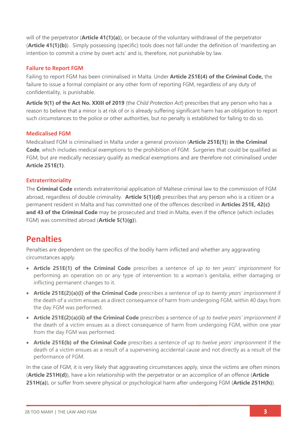will of the perpetrator (**Article 41(1)(a)**), or because of the voluntary withdrawal of the perpetrator (**Article 41(1)(b)**). Simply possessing (specific) tools does not fall under the definition of 'manifesting an intention to commit a crime by overt acts' and is, therefore, not punishable by law.

#### **Failure to Report FGM**

Failing to report FGM has been criminalised in Malta. Under **Article 251E(4) of the Criminal Code,** the failure to issue a formal complaint or any other form of reporting FGM, regardless of any duty of confidentiality, is punishable.

**Article 9(1) of the Act No. XXIII of 2019** (the *Child Protection Act*) prescribes that any person who has a reason to believe that a minor is at risk of or is already suffering significant harm has an obligation to report such circumstances to the police or other authorities, but no penalty is established for failing to do so.

#### **Medicalised FGM**

Medicalised FGM is criminalised in Malta under a general provision (**Article 251E(1)**) **in the Criminal Code**, which includes medical exemptions to the prohibition of FGM. Surgeries that could be qualified as FGM, but are medically necessary qualify as medical exemptions and are therefore not criminalised under **Article 251E(1)**.

#### **Extraterritoriality**

The **Criminal Code** extends extraterritorial application of Maltese criminal law to the commission of FGM abroad, regardless of double criminality. **Article 5(1)(d)** prescribes that any person who is a citizen or a permanent resident in Malta and has committed one of the offences described in **Articles 251E, 42(c) and 43 of the Criminal Code** may be prosecuted and tried in Malta, even if the offence (which includes FGM) was committed abroad (**Article 5(1)(g)**).

### **Penalties**

Penalties are dependent on the specifics of the bodily harm inflicted and whether any aggravating circumstances apply.

- **Article 251E(1) of the Criminal Code** prescribes a sentence of *up to ten years' imprisonment* for performing an operation on or any type of intervention to a woman's genitalia, either damaging or inflicting permanent changes to it.
- **Article 251E(2)(a)(i) of the Criminal Code** prescribes a sentence of *up to twenty years' imprisonment* if the death of a victim ensues as a direct consequence of harm from undergoing FGM, within 40 days from the day FGM was performed.
- **Article 251E(2)(a)(ii) of the Criminal Code** prescribes a sentence of *up to twelve years' imprisonment* if the death of a victim ensues as a direct consequence of harm from undergoing FGM, within one year from the day FGM was performed.
- **Article 251E(b) of the Criminal Code** prescribes a sentence of *up to twelve years' imprisonment* if the death of a victim ensues as a result of a supervening accidental cause and not directly as a result of the performance of FGM.

In the case of FGM, it is very likely that aggravating circumstances apply, since the victims are often minors (**Article 251H(d)**), have a kin relationship with the perpetrator or an accomplice of an offence (**Article 251H(a)**), or suffer from severe physical or psychological harm after undergoing FGM (**Article 251H(h)**).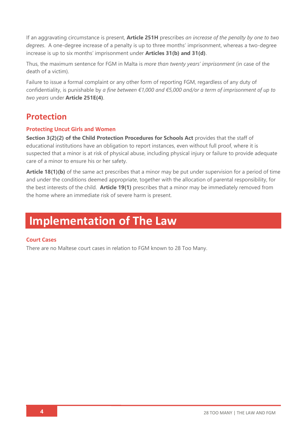If an aggravating circumstance is present, **Article 251H** prescribes *an increase of the penalty by one to two degrees*. A one-degree increase of a penalty is up to three months' imprisonment, whereas a two-degree increase is up to six months' imprisonment under **Articles 31(b) and 31(d)**.

Thus, the maximum sentence for FGM in Malta is *more than twenty years' imprisonment* (in case of the death of a victim).

Failure to issue a formal complaint or any other form of reporting FGM, regardless of any duty of confidentiality, is punishable by *a fine between €1,000 and €5,000 and/or a term of imprisonment of up to two years* under **Article 251E(4)**.

## **Protection**

#### **Protecting Uncut Girls and Women**

**Section 3(2)(2) of the Child Protection Procedures for Schools Act** provides that the staff of educational institutions have an obligation to report instances, even without full proof, where it is suspected that a minor is at risk of physical abuse, including physical injury or failure to provide adequate care of a minor to ensure his or her safety.

**Article 18(1)(b)** of the same act prescribes that a minor may be put under supervision for a period of time and under the conditions deemed appropriate, together with the allocation of parental responsibility, for the best interests of the child. **Article 19(1)** prescribes that a minor may be immediately removed from the home where an immediate risk of severe harm is present.

## **Implementation of The Law**

#### **Court Cases**

There are no Maltese court cases in relation to FGM known to 28 Too Many.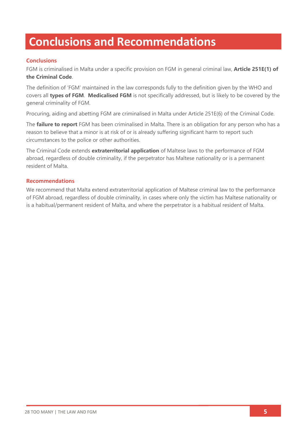## **Conclusions and Recommendations**

#### **Conclusions**

FGM is criminalised in Malta under a specific provision on FGM in general criminal law, **Article 251E(1) of the Criminal Code**.

The definition of 'FGM' maintained in the law corresponds fully to the definition given by the WHO and covers all **types of FGM**. **Medicalised FGM** is not specifically addressed, but is likely to be covered by the general criminality of FGM.

Procuring, aiding and abetting FGM are criminalised in Malta under Article 251E(6) of the Criminal Code.

The **failure to report** FGM has been criminalised in Malta. There is an obligation for any person who has a reason to believe that a minor is at risk of or is already suffering significant harm to report such circumstances to the police or other authorities.

The Criminal Code extends **extraterritorial application** of Maltese laws to the performance of FGM abroad, regardless of double criminality, if the perpetrator has Maltese nationality or is a permanent resident of Malta.

#### **Recommendations**

We recommend that Malta extend extraterritorial application of Maltese criminal law to the performance of FGM abroad, regardless of double criminality, in cases where only the victim has Maltese nationality or is a habitual/permanent resident of Malta, and where the perpetrator is a habitual resident of Malta.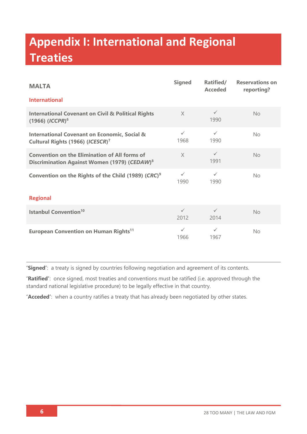# **Appendix I: International and Regional Treaties**

| <b>MALTA</b>                                                                                                     | <b>Signed</b>        | Ratified/<br><b>Acceded</b> | <b>Reservations on</b><br>reporting? |  |  |
|------------------------------------------------------------------------------------------------------------------|----------------------|-----------------------------|--------------------------------------|--|--|
| <b>International</b>                                                                                             |                      |                             |                                      |  |  |
| <b>International Covenant on Civil &amp; Political Rights</b><br>$(1966)$ (ICCPR) <sup>6</sup>                   | $\times$             | $\checkmark$<br>1990        | <b>No</b>                            |  |  |
| <b>International Covenant on Economic, Social &amp;</b><br>Cultural Rights (1966) (ICESCR) <sup>7</sup>          | $\checkmark$<br>1968 | $\checkmark$<br>1990        | No                                   |  |  |
| <b>Convention on the Elimination of All forms of</b><br>Discrimination Against Women (1979) (CEDAW) <sup>8</sup> | $\times$             | $\checkmark$<br>1991        | <b>No</b>                            |  |  |
| Convention on the Rights of the Child (1989) (CRC) <sup>9</sup>                                                  | $\checkmark$<br>1990 | $\checkmark$<br>1990        | No                                   |  |  |
| <b>Regional</b>                                                                                                  |                      |                             |                                      |  |  |
| <b>Istanbul Convention<sup>10</sup></b>                                                                          | $\checkmark$<br>2012 | $\checkmark$<br>2014        | No                                   |  |  |
| <b>European Convention on Human Rights<sup>11</sup></b>                                                          | $\checkmark$<br>1966 | $\checkmark$<br>1967        | <b>No</b>                            |  |  |

**'Signed'**: a treaty is signed by countries following negotiation and agreement of its contents.

**'Ratified'**: once signed, most treaties and conventions must be ratified (i.e. approved through the standard national legislative procedure) to be legally effective in that country.

**'Acceded'**: when a country ratifies a treaty that has already been negotiated by other states.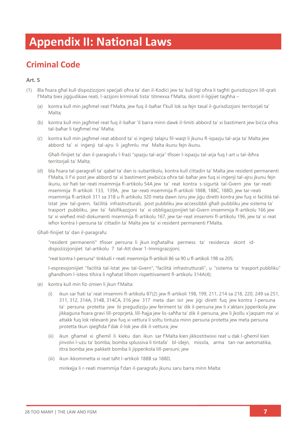## **Appendix II: National Laws**

## **Criminal Code**

#### **Art. 5**

- (1) Bla ħsara għal kull dispożizzjoni speċjali oħra ta' dan il-Kodiċi jew ta' kull liġi oħra li tagħti ġurisdizzjoni lill-qrati f'Malta biex jiġġudikaw reati, l-azzjoni kriminali tista' titmexxa f'Malta, skont il-liġijiet tagħha –
	- (a) kontra kull min jagħmel reat f'Malta, jew fuq il-baħar f'kull lok sa fejn tasal il-ġurisdizzjoni territorjali ta' Malta;
	- (b) kontra kull min jagħmel reat fuq il-baħar 'il barra minn dawk il-limiti abbord ta' xi bastiment jew biċċa oħra tal-baħar li tagħmel ma' Malta;
	- (ċ) kontra kull min jagħmel reat abbord ta' xi inġenji talajru fil-waqt li jkunu fl-ispazju tal-arja ta' Malta jew abbord ta' xi inġenji tal-ajru li jagħmlu ma' Malta ikunu fejn ikunu.

Għall-finijiet ta' dan il-paragrafu l-frażi "spazju tal-arja" tfisser l-ispazju tal-arja fuq l-art u tal-ibħra territorjali ta' Malta;

(d) bla ħsara tal-paragrafi ta' qabel ta' dan is-subartikolu, kontra kull ċittadin ta' Malta jew resident permanenti f'Malta, li f'xi post jew abbord ta' xi bastiment jewbiċċa oħra tal-baħar jew fuq xi inġenji tal-ajru jkunu fejn ikunu, isir ħati tar-reati msemmija fl-artikolu 54A jew ta' reat kontra s-sigurtà tal-Gvern jew tar-reati msemmija fl-artikoli 133, 139A, jew tar-reati msemmija fl-artikoli 188B, 188Ċ, 188D, jew tar-reati msemmija fl-artikoli 311 sa 318 u fl-artikolu 320 meta dawn isiru jew jiġu diretti kontra jew fuq xi faċilità tal-Istat jew tal-gvern, faċilità infrastrutturali, post pubbliku jew aċċessibbli għall-pubbliku jew sistema ta' trasport pubbliku, jew ta' falsifikazzjoni ta' xi obbligazzjonijiet tal-Gvern imsemmija fl-artikolu 166 jew ta' xi wieħed mid-dokumenti msemmija fl-artikolu 167, jew tar-reat imsemmi fl-artikolu 196, jew ta' xi reat ieħor kontra l-persuna ta' ċittadin ta' Malta jew ta' xi resident permanenti f'Malta.

Għall-finijiet ta' dan il-paragrafu:

"resident permanenti" tfisser persuna li jkun ingħatalha permess ta' residenza skont iddispożizzjonijiet tal-artikolu 7 tal-Att dwar 1-Immigrazzjoni;

"reat kontra l-persuna" tinkludi r-reati msemmija fl-artikoli 86 sa 90 u fl-artikoli 198 sa 205;

l-espressjoniijiet "faċilità tal-Istat jew tal-Gvern", "faċilità infrastrutturali", u "sistema ta' trasport pubbliku" għandhom l-istess tifsira li ngħatat lilhom rispettivament fl-artikolu 314A(4);

- (e) kontra kull min fiż-żmien li jkun f'Malta:
	- (i) ikun sar ħati ta' reat imsemmi fl-artikolu 87(2) jew fl-artikoli 198, 199, 211, 214 sa 218, 220, 249 sa 251, 311, 312, 314A, 314B, 314ĊA, 316 jew 317 meta dan isir jew jiġi dirett fuq jew kontra l-persuna ta' persuna protetta jew bi preġudizzju jew feriment ta' dik il-persuna jew li x'aktarx jipperikola jew jikkaġuna ħsara gravi lill-proprjetà, lill-ħajja jew lis-saħħa ta' dik il-persuna, jew li jkollu x'jaqsam ma' xi attakk fuq lok relevanti jew fuq xi vettura li soltu tintuża minn persuna protetta jew meta persuna protetta tkun qiegħda f'dak il-lok jew dik il-vettura; jew
	- (ii) ikun għamel xi għemil li kieku dan ikun sar f'Malta kien jikkostitwixxi reat u dak l-għemil kien jinvolvi l-użu ta' bomba, bomba splussiva li tintafa' bl-idejn, missila, arma tan-nar awtomatika, ittra bomba jew pakkett bomba li jipperikola lill-persuni; jew
	- (iii) ikun ikkommetta xi reat taħt l-artikoli 188B sa 188D,

minkejja li r-reati msemmija f'dan il-paragrafu jkunu saru barra minn Malta: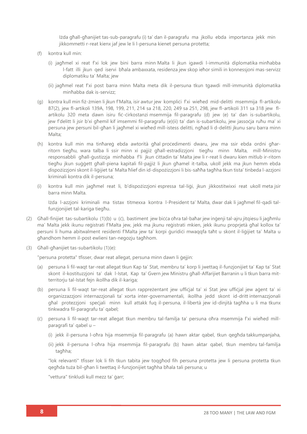Iżda għall-għanijiet tas-sub-paragrafu (i) ta' dan il-paragrafu ma jkollu ebda importanza jekk min jikkommetti r-reat kienx jaf jew le li l-persuna kienet persuna protetta;

- (f) kontra kull min:
	- (i) jagħmel xi reat f'xi lok jew bini barra minn Malta li jkun igawdi l-immunità diplomatika minħabba l-fatt illi jkun qed iservi bħala ambaxxata, residenza jew skop ieħor simili in konnessjoni mas-servizz diplomatiku ta' Malta; jew
	- (ii) jagħmel reat f'xi post barra minn Malta meta dik il-persuna tkun tgawdi mill-immunità diplomatika minħabba dak is-servizz;
- (g) kontra kull min fiż-żmien li jkun f'Malta, isir awtur jew kompliċi f'xi wieħed mid-delitti msemmija fl-artikolu 87(2), jew fl-artikoli 139A, 198, 199, 211, 214 sa 218, 220, 249 sa 251, 298, jew fl-artikoli 311 sa 318 jew flartikolu 320 meta dawn isiru fiċ-ċirkostanzi msemmija fil-paragrafu (d) jew (e) ta' dan is-subartikolu, jew f'delitt li jsir b'xi għemil kif imsemmi fil-paragrafu (e)(ii) ta' dan is-subartikolu, jew jassoċja ruħu ma' xi persuna jew persuni bil-għan li jagħmel xi wieħed mill-istess delitti, ngħad li d-delitti jkunu saru barra minn Malta;
- (h) kontra kull min ma tinħareġ ebda awtorità għal proċedimenti dwaru, jew ma ssir ebda ordni għarritorn tiegħu, wara talba li ssir minn xi pajjiż għall-estradizzjoni tiegħu minn Malta, mill-Ministru responsabbli għall-ġustizzja minħabba f'li jkun ċittadin ta' Malta jew li r-reat li dwaru kien mitlub ir-ritorn tiegħu jkun suġġett għall-piena kapitali fil-pajjiż li jkun għamel it-talba, ukoll jekk ma jkun hemm ebda dispożizzjoni skont il-liġijiet ta' Malta ħlief din id-dispożizzjoni li bis-saħħa tagħha tkun tista' tinbeda l-azzjoni kriminali kontra dik il-persuna;
- (i) kontra kull min jagħmel reat li, b'dispożizzjoni espressa tal-liġi, jkun jikkostitwixxi reat ukoll meta jsir barra minn Malta.

Iżda l-azzjoni kriminali ma tistax titmexxa kontra l-President ta' Malta, dwar dak li jagħmel fil-qadi talfunzjonijiet tal-kariga tiegħu.

- (2) Għall-finijiet tas-subartikolu (1)(b) u (ċ), bastiment jew biċċa oħra tal-baħar jew inġenji tal-ajru jitqiesu li jagħmlu ma' Malta jekk ikunu reġistrati f'Malta jew, jekk ma jkunu reġistrati mkien, jekk ikunu proprjetà għal kollox ta' persuni li huma abitwalment residenti f'Malta jew ta' korpi ġuridiċi mwaqqfa taħt u skont il-liġijiet ta' Malta u għandhom hemm il-post ewlieni tan-negozju tagħhom.
- (3) Għall-għanijiet tas-subartikolu (1)(e):

"persuna protetta" tfisser, dwar reat allegat, persuna minn dawn li ġejjin:

- (a) persuna li fil-waqt tar-reat allegat tkun Kap ta' Stat, membru ta' korp li jwettaq il-funzjonijiet ta' Kap ta' Stat skont il-kostituzzjoni ta' dak l-Istat, Kap ta' Gvern jew Ministru għall-Affarijiet Barranin u li tkun barra mitterritorju tal-Istat fejn ikollha dik il-kariga;
- (b) persuna li fil-waqt tar-reat allegat tkun rappreżentant jew uffiċjal ta' xi Stat jew uffiċjal jew aġent ta' xi organizzazzjoni internazzjonali ta' xorta inter-governamentali, ikollha jedd skont id-dritt internazzjonali għal protezzjoni speċjali minn kull attakk fuq il-persuna, il-libertà jew id-dinjità tagħha u li ma tkunx tinkwadra fil-paragrafu ta' qabel;
- (ċ) persuna li fil-waqt tar-reat allegat tkun membru tal-familja ta' persuna oħra msemmija f'xi wieħed millparagrafi ta' qabel u –
	- (i) jekk il-persuna l-oħra hija msemmija fil-paragrafu (a) hawn aktar qabel, tkun qegħda takkumpanjaha,
	- (ii) jekk il-persuna l-oħra hija msemmija fil-paragrafu (b) hawn aktar qabel, tkun membru tal-familja tagħha;

"lok relevanti" tfisser lok li fih tkun tabita jew toqgħod fih persuna protetta jew li persuna protetta tkun qegħda tuża bil-għan li twettaq il-funzjonijiet tagħha bħala tali persuna; u

"vettura" tinkludi kull mezz ta' ġarr;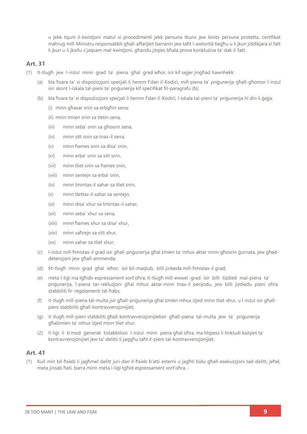u jekk tqum il-kwistjoni matul xi proċedimenti jekk persuna tkunx jew kinitx persuna protetta, ċertifikat mahruġ mill-Ministru responsabbli għall-affarijiet barranin jew taħt l-awtorità tiegħu u li jkun jiddikjara xi fatt li jkun u li jkollu x'jaqsam mal-kwistjoni, għandu jitqies bħala prova konklużiva ta' dak il-fatt.

#### **Art. 31**

- (1) It-tlugħ jew l-inżul minn grad ta' piena għal grad ieħor, isir kif sejjer jingħad hawnhekk:
	- (a) bla ħsara ta' xi dispożizzjoni speċjali li hemm f'dan il-Kodiċi, mill-piena ta' priġunerija għall-għomor l-inżul isir skont l-iskala tal-pieni ta' priġunerija kif speċifikat fil-paragrafu (b);
	- (b) bla ħsara ta' xi dispożizzjoni speċjali li hemm f'dan il-Kodiċi, l-iskala tal-pieni ta' priġunerija hi din li ġejja:
		- (i) minn għaxar snin sa erbgħin sena;
		- (ii) minn tmien snin sa tletin sena,
		- (iii) minn seba' snin sa għoxrin sena,
		- (iv) minn sitt snin sa tnax-il sena,
		- (v) minn ħames snin sa disa' snin,
		- (vi) minn erba' snin sa sitt snin,
		- (vii) minn tliet snin sa ħames snin,
		- (viii) minn sentejn sa erba' snin,
		- (ix) minn tmintax-il xahar sa tliet snin,
		- (x) minn tlettax-il xahar sa sentejn,
		- (xi) minn disa' xhur sa tmintax-il xahar,
		- (xii) minn seba' xhur sa sena,
		- (xiii) minn ħames xhur sa disa' xhur,
		- (xiv) minn xaħrejn sa sitt xhur,
		- (xv) minn xahar sa tliet xhur;
	- (ċ) l-inżul mill-ħmistax-il grad isir għall-priġunerija għal żmien ta' mhux aktar minn għoxrin ġurnata, jew għaddetenzjoni jew għall-ammenda;
	- (d) fit-tlugħ minn grad għal ieħor, isir bil-maqlub, billi jinbeda mill-ħmistax-il grad;
	- (e) meta l-liġi ma tgħidx espressament xort'oħra, it-tlugħ mill-ewwel grad isir billi tiżdied mal-piena ta' priġunerija, l-piena tar-reklużjoni għal mhux aktar minn tnax-il perijodu, jew billi jiżdiedu pieni oħra stabbiliti fir-regolamenti tal-ħabs;
	- (f) it-tlugħ mill-piena tal-multa jsir għall-priġunerija għal żmien mhux iżjed minn tliet xhur, u l-inżul isir għallpieni stabbiliti għall-kontravvenzjonijiet;
	- (g) it-tlugħ mill-pieni stabbiliti għall-kontravvenzjonijietisir għall-piena tal-multa jew ta' priġunerija għalżmien ta' mhux iżjed minn tliet xhur.
	- (2) Il-liġi li b'mod ġenerali tistabbilixxi l-inżul minn piena għal oħra, ma titqiesx li tinkludi każijiet ta' kontravvenzjonijiet jew ta' delitti li jaqgħu taħt il-pieni tal-kontravvenzjonijiet.

#### **Art. 41**

(1) Kull min bil-ħsieb li jagħmel delitt juri dan il-ħsieb b'atti esterni u jagħti bidu għall-esekuzzjoni tad-delitt, jeħel, meta jinsab ħati, barra minn meta l-liġi tgħid espressament xort'oħra, -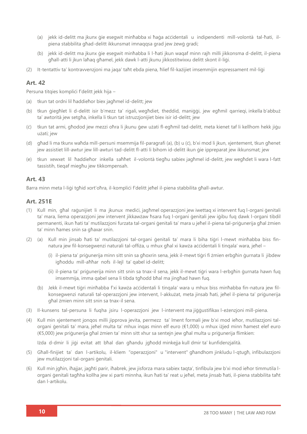- (a) jekk id-delitt ma jkunx ġie esegwit minħabba xi ħaġa aċċidentali u indipendenti mill-volontà tal-ħati, ilpiena stabbilita għad-delitt ikkunsmat imnaqqsa grad jew żewġ gradi;
- (b) jekk id-delitt ma ikunx gie esegwit minħabba li l-ħati ikun waqaf minn raih milli jikkonsma d-delitt, il-piena għall-atti li jkun laħaq għamel, jekk dawk l-atti jkunu jikkostitwixxu delitt skont il-liġi.
- (2) It-tentattiv ta' kontravvenzjoni ma jaqa' taħt ebda piena, ħlief fil-każijiet imsemmijin espressament mil-liġi

#### **Art. 42**

Persuna titqies kompliċi f'delitt jekk hija -

- (a) tkun tat ordni lil ħaddieħor biex jagħmel id-delitt; jew
- (b) tkun ġiegħlet li d-delitt isir b'mezz ta' rigali, wegħdiet, theddid, maniġġi, jew egħmil qarrieqi, inkella b'abbuż ta' awtorità jew setgħa, inkella li tkun tat istruzzjonijiet biex isir id-delitt; jew
- (ċ) tkun tat armi, għodod jew mezzi oħra li jkunu ġew użati fl-egħmil tad-delitt, meta kienet taf li kellhom hekk jiġu użati; jew
- (d) għad li ma tkunx waħda mill-persuni msemmija fil-paragrafi (a), (b) u (ċ), b'xi mod li jkun, xjentement, tkun għenet jew assistiet lill-awtur jew lill-awturi tad-delitt fl-atti li bihom id-delitt ikun ġie ippreparat jew ikkunsmat; jew
- (e) tkun xewxet lil ħaddieħor inkella saħħet il-volontà tiegħu sabiex jagħmel id-delitt, jew wegħdet li wara l-fatt tassistih, tieqaf miegħu jew tikkompensah.

#### **Art. 43**

Barra minn meta l-liġi tgħid xort'oħra, il-kompliċi f'delitt jeħel il-piena stabbilita għall-awtur.

#### **Art. 251E**

- (1) Kull min, għal raġunijiet li ma jkunux mediċi, jagħmel operazzjoni jew iwettaq xi intervent fuq l-organi ġenitali ta' mara, liema operazzjoni jew intervent jikkawżaw ħsara fuq l-organi ġenitali jew iġibu fuq dawk l-organi tibdil permanenti, ikun ħati ta' mutilazzjoni furzata tal-organi ġenitali ta' mara u jeħel il-piena tal-priġunerija għal żmien ta' minn ħames snin sa għaxar snin.
- (2) (a) Kull min jinsab ħati ta' mutilazzjoni tal-organi ġenitali ta' mara li biha tiġri l-mewt minħabba biss finnatura jew fil-konsegwenzi naturali tal-offiża, u mhux għal xi kawża aċċidentali li tingala' wara, jeħel –
	- (i) il-piena ta' priġunerija minn sitt snin sa għoxrin sena, jekk il-mewt tiġri fi żmien erbgħin ġurnata li jibdew igħoddu mill-aħħar nofs il-lejl ta' qabel id-delitt;
	- (ii) il-piena ta' priġunerija minn sitt snin sa tnax-il sena, jekk il-mewt tiġri wara l-erbgħin ġurnata hawn fuq imsemmija, imma qabel sena li tibda tgħodd bħal ma jingħad hawn fuq.
	- (b) Jekk il-mewt tiġri minħabba f'xi kawża aċċidentali li tinqala' wara u mhux biss minħabba fin-natura jew filkonsegwenzi naturali tal-operazzjoni jew intervent, l-akkużat, meta jinsab ħati, jeħel il-piena ta' priġunerija għal żmien minn sitt snin sa tnax-il sena.
- (3) Il-kunsens tal-persuna li fuqha jsiru l-operazzjoni jew l-intervent ma jiġġustifikax l-eżenzjoni mill-piena.
- (4) Kull min xjentement jonqos milli jipprova jevita, permezz ta' lment formali jew b'xi mod ieħor, mutilazzjoni talorgani ġenitali ta' mara, jeħel multa ta' mhux inqas minn elf euro (€1,000) u mhux iżjed minn ħamest elef euro (€5,000) jew priġunerija għal żmien ta' minn sitt xhur sa sentejn jew għal multa u priġunerija flimkien:

Iżda d-dmir li jiġi evitat att bħal dan għandu jgħodd minkejja kull dmir ta' kunfidenzjalità.

- (5) Għall-finijiet ta' dan l-artikolu, il-kliem "operazzjoni" u "intervent" għandhom jinkludu l-qtugħ, infibulazzjoni jew mutilazzjoni tal-organi ġenitali.
- (6) Kull min jgħin, iħajjar, jagħti parir, iħabrek, jew jisforza mara sabiex taqta', tinfibula jew b'xi mod ieħor timmutila lorgani ġenitali tagħha kollha jew xi parti minnha, ikun ħati ta' reat u jeħel, meta jinsab ħati, il-piena stabbilita taħt dan l-artikolu.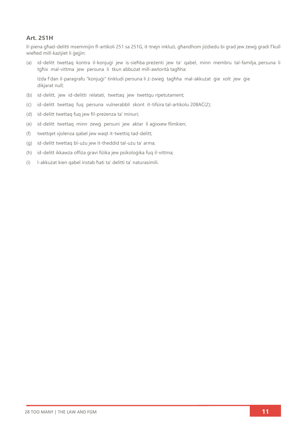#### **Art. 251H**

Il-piena għad-delitti msemmijin fl-artikoli 251 sa 251G, it-tnejn inklużi, għandhom jiżdiedu bi grad jew żewġ gradi f'kull wieħed mill-każijiet li ġejjin:

(a) id-delitt twettaq kontra il-konjuġi jew is-sieħba preżenti jew ta' qabel, minn membru tal-familja, persuna li tgħix mal-vittma jew persuna li tkun abbużat mill-awtorità tagħha:

Iżda f'dan il-paragrafu "konjuġi" tinkludi persuna li ż-żwieġ tagħha mal-akkużat ġie xolt jew ġie dikjarat null;

- (b) id-delitt, jew id-delitti relatati, twettaq jew twettqu ripetutament;
- (ċ) id-delitt twettaq fuq persuna vulnerabbli skont it-tifsira tal-artikolu 208AĊ(2);
- (d) id-delitt twettaq fuq jew fil-preżenza ta' minuri;
- (e) id-delitt twettaq minn żewġ persuni jew aktar li aġixxew flimkien;
- (f) twettqet vjolenza qabel jew waqt it-twettiq tad-delitt;
- (g) id-delitt twettaq bl-użu jew it-theddid tal-użu ta' arma;
- (h) id-delitt ikkawża offiża gravi fiżika jew psikoloġika fuq il-vittma;
- (i) l-akkużat kien qabel instab ħati ta' delitti ta' naturasimili.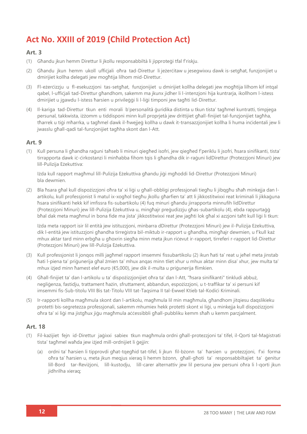## **Act No. XXIII of 2019 (Child Protection Act)**

#### **Art. 3**

- (1) Għandu ikun hemm Direttur li ikollu responsabbiltà li jipproteġi tfal f'riskiu.
- (2) Għandu jkun hemm ukoll uffiċjali oħra tad-Direttur li jeżerċitaw u jesegwixxu dawk is-setgħat, funzjonijiet u dmirijiet kollha delegati jew mogħtija lilhom mid-Direttur.
- (3) Fl-eżerċizzju u fl-esekuzzjoni tas-setgħat, funzjonijiet u dmirijiet kollha delegati jew mogħtija lilhom kif intqal qabel, l-uffiċjali tad-Direttur għandhom, sakemm ma jkunx jidher li l-intenzjoni hija kuntrarja, ikollhom l-istess dmirijiet u jgawdu l-istess ħarsien u privileġġi li l-liġi timponi jew tagħti lid-Direttur.
- (4) Il-kariga tad-Direttur tkun enti morali b'personalità ġuridika distinta u tkun tista' tagħmel kuntratti, timpjega persunal, takkwista, iżżomm u tiddisponi minn kull proprjetà jew drittijiet għall-finijiet tal-funzjonijiet tagħha, tħarrek u tiġi mħarrka, u tagħmel dawk il-ħwejjeġ kollha u dawk it-transazzjonijiet kollha li huma inċidentali jew li jwasslu għall-qadi tal-funzjonijiet tagħha skont dan l-Att.

#### **Art. 9**

(1) Kull persuna li għandha raġuni taħseb li minuri qiegħed isofri, jew qiegħed f'periklu li jsofri, ħsara sinifikanti, tista' tirrapporta dawk iċ-ċirkostanzi li minħabba fihom tqis li għandha dik ir-raġuni lidDirettur (Protezzjoni Minuri) jew lill-Pulizija Eżekuttiva:

Iżda kull rapport magħmul lill-Pulizija Eżekuttiva għandu jiġi mgħoddi lid-Direttur (Protezzjoni Minuri) bla dewmien.

(2) Bla ħsara għal kull dispożizzjoni oħra ta' xi liġi u għall-obbligi professjonali tiegħu li jibqgħu sħaħ minkejja dan lartikolu, kull professjonist li matul ix-xogħol tiegħu jkollu għarfien ta' att li jikkostitwixxi reat kriminali li jikkaġuna ħsara sinifikanti hekk kif imfissra fis-subartikolu (4) fuq minuri għandu jirrapporta minnufih lidDirettur (Protezzjoni Minuri) jew lill-Pulizija Eżekuttiva u, mingħajr preġudizzju għas-subartikolu (4), ebda rappurtaġġ bħal dak meta magħmul in bona fide ma jista' jikkostitwixxi reat jew jagħti lok għal xi azzjoni taħt kull liġi li tkun:

Iżda meta rapport isir lil entità jew istituzzjoni, minbarra dDirettur (Protezzjoni Minuri) jew il-Pulizija Eżekuttiva, dik l-entità jew istituzzjoni għandha tirreġistra bil-miktub ir-rapport u għandha, mingħajr dewmien, u f'kull każ mhux aktar tard minn erbgħa u għoxrin siegħa minn meta jkun riċevut ir-rapport, tirreferi r-rapport lid-Direttur (Protezzjoni Minuri) jew lill-Pulizija Eżekuttiva.

- (3) Kull professjonist li jonqos milli jagħmel rapport imsemmi fissubartikolu (2) ikun ħati ta' reat u jeħel meta jinstab ħati l-piena ta' priġunerija għal żmien ta' mhux anqas minn tliet xhur u mhux aktar minn disa' xhur, jew multa ta' mhux iżjed minn ħamest elef euro (€5,000), jew dik il-multa u priġunerija flimkien.
- (4) Għall-finijiet ta' dan l-artikolu u ta' dispożizzjonijiet oħra ta' dan l-Att, "ħsara sinifikanti" tinkludi abbuż, negliġenza, fastidju, trattament ħażin, sfruttament, abbandun, espożizzjoni, u t-traffikar ta' xi persuni kif imsemmi fis-Sub-titolu VIII Bis tat-Titolu VIII tat-Taqsima II tal-Ewwel Ktieb tal-Kodići Kriminali.
- (5) Ir-rapporti kollha magħmula skont dan l-artikolu, magħmula lil min magħmula, għandhom jitqiesu daqslikieku protetti bis-segretezza professjonali, sakemm mhumiex hekk protetti skont xi liġi, u minkejja kull dispożizzjoni oħra ta' xi liġi ma jistgħux jiġu magħmula aċċessibbli għall-pubbliku kemm sħaħ u kemm parzjalment.

#### **Art. 18**

- (1) Fil-każijiet fejn id-Direttur jaġixxi sabiex tkun magħmula ordni għall-protezzjoni ta' tifel, il-Qorti tal-Maġistrati tista' tagħmel waħda jew iżjed mill-ordnijiet li ġejjin:
	- (a) ordni ta' ħarsien li tipprovdi għat-tqegħid tat-tifel, li jkun fil-bżonn ta' ħarsien u protezzjoni, f'xi forma oħra ta' ħarsien u, meta jkun meqjus xieraq li hemm bżonn, għall-għoti ta' responsabbiltajiet ta' ġenitur lill-Bord tar-Reviżjoni, lill-kustodju, lill-carer alternattiv jew lil persuna jew persuni oħra li l-qorti jkun jidhrilha xieraq;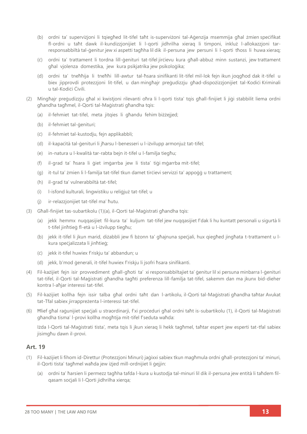- (b) ordni ta' superviżjoni li tqiegħed lit-tifel taħt is-superviżoni tal-Aġenzija msemmija għal żmien speċifikat fl-ordni u taħt dawk il-kundizzjonijiet li l-qorti jidhrilha xieraq li timponi, inkluż l-allokazzjoni tarresponsabbiltà tal-ġenitur jew xi aspetti tagħha lil dik il-persuna jew persuni li l-gorti tħoss li huwa xierag;
- (ċ) ordni ta' trattament li tordna lill-ġenituri tat-tifel jirċievu kura għall-abbuż minn sustanzi, jew trattament għal vjolenza domestika, jew kura psikjatrika jew psikoloģika;
- (d) ordni ta' tneħħija li tneħħi lill-awtur tal-ħsara sinifikanti lit-tifel mil-lok fejn ikun joqgħod dak it-tifel u biex jipprovdi protezzjoni lit-tifel, u dan mingħajr preġudizzju għad-dispożizzjonijiet tal-Kodići Kriminali u tal-Kodiċi Ċivili.
- (2) Mingħajr preġudizzju għal xi kwistjoni rilevanti oħra li l-qorti tista' tqis għall-finijiet li jiġi stabbilit liema ordni għandha tagħmel, il-Qorti tal-Maġistrati għandha tqis:
	- (a) il-fehmiet tat-tifel, meta jitqies li għandu fehim biżżejjed;
	- (b) il-fehmiet tal-ġenituri;
	- (ċ) il-fehmiet tal-kustodju, fejn applikabbli;
	- (d) il-kapaċità tal-ġenituri li jħarsu l-benesseri u l-iżvilupp armonjuż tat-tifel;
	- (e) in-natura u l-kwalità tar-rabta bejn it-tifel u l-familja tiegħu;
	- (f) il-grad ta' ħsara li ġiet imġarrba jew li tista' tiġi mġarrba mit-tifel;
	- (g) it-tul ta' żmien li l-familja tat-tifel tkun damet tirċievi servizzi ta' appoġġ u trattament;
	- (h) il-grad ta' vulnerabbiltà tat-tifel;
	- (i) l-isfond kulturali, lingwistiku u reliġjuż tat-tifel; u
	- (j) ir-relazzjonijiet tat-tifel ma' ħutu.
- (3) Għall-finijiet tas-subartikolu (1)(a), il-Qorti tal-Maġistrati għandha tqis:
	- (a) jekk hemmx nuqqasijiet fil-kura ta' kuljum tat-tifel jew nuqqasijiet f'dak li hu kuntatt personali u sigurtà li t-tifel jinħtieġ fl-età u l-iżvilupp tiegħu;
	- (b) jekk it-tifel li jkun marid, diżabbli jew fi bżonn ta' għajnuna speċjali, hux qiegħed jingħata t-trattament u lkura speċjalizzata li jinħtieġ;
	- (ċ) jekk it-tifel huwiex f'riskju ta' abbandun; u
	- (d) jekk, b'mod ġenerali, it-tifel huwiex f'riskju li jsofri ħsara sinifikanti.
- (4) Fil-każijiet fejn isir provvediment għall-għoti ta' xi responsabbiltajiet ta' ġenitur lil xi persuna minbarra l-ġenituri tat-tifel, il-Qorti tal-Maġistrati għandha tagħti preferenza lill-familja tat-tifel, sakemm dan ma jkunx bid-dieher kontra l-aħjar interessi tat-tifel.
- (5) Fil-każijiet kollha fejn issir talba għal ordni taħt dan l-artikolu, il-Qorti tal-Maġistrati għandha taħtar Avukat tat-Tfal sabiex jirrappreżenta l-interessi tat-tifel.
- (6) Ħlief għal raġunijiet speċjali u straordinarji, f'xi proċeduri għal ordni taħt is-subartikolu (1), il-Qorti tal-Maġistrati għandha tisma' l-provi kollha mogħtija mit-tifel f'seduta waħda:

Iżda l-Qorti tal-Maġistrati tista', meta tqis li jkun xieraq li hekk tagħmel, taħtar espert jew esperti tat-tfal sabiex jisimgħu dawn il-provi.

#### **Art. 19**

- (1) Fil-każijiet li fihom id-Direttur (Protezzjoni Minuri) jaġixxi sabiex tkun magħmula ordni għall-protezzjoni ta' minuri, il-Qorti tista' tagħmel waħda jew iżjed mill-ordnijiet li ġejjin:
	- (a) ordni ta' ħarsien li permezz tagħha tafda l-kura u kustodja tal-minuri lil dik il-persuna jew entità li taħdem filqasam soċjali li l-Qorti jidhrilha xierqa;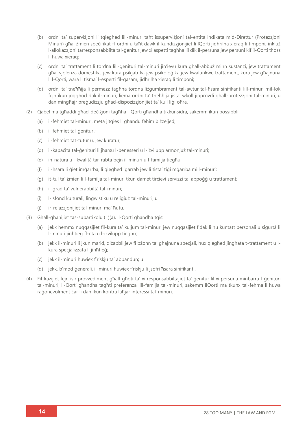- (b) ordni ta' superviżjoni li tqiegħed lill-minuri taħt issuperviżjoni tal-entità indikata mid-Direttur (Protezzjoni Minuri) għal żmien speċifikat fl-ordni u taħt dawk il-kundizzjonijiet li lQorti jidhrilha xieraq li timponi, inkluż l-allokazzjoni tarresponsabbiltà tal-ġenitur jew xi aspetti tagħha lil dik il-persuna jew persuni kif il-Qorti tħoss li huwa xieraq;
- (ċ) ordni ta' trattament li tordna lill-ġenituri tal-minuri jirċievu kura għall-abbuż minn sustanzi, jew trattament għal vjolenza domestika, jew kura psikjatrika jew psikoloġika jew kwalunkwe trattament, kura jew għajnuna li l-Qorti, wara li tisma' l-esperti fil-qasam, jidhrilha xieraq li timponi;
- (d) ordni ta' tneħħija li permezz tagħha tordna liżgumbrament tal-awtur tal-ħsara sinifikanti lill-minuri mil-lok fejn ikun joqgħod dak il-minuri, liema ordni ta' tneħħija jista' wkoll jipprovdi għall-protezzjoni tal-minuri, u dan mingħajr preġudizzju għad-dispożizzjonijiet ta' kull liġi oħra.
- (2) Qabel ma tgħaddi għad-deċiżjoni tagħha l-Qorti għandha tikkunsidra, sakemm ikun possibbli:
	- (a) il-fehmiet tal-minuri, meta jitqies li għandu fehim biżżejjed;
	- (b) il-fehmiet tal-ġenituri;
	- (ċ) il-fehmiet tat-tutur u, jew kuratur;
	- (d) il-kapaċità tal-ġenituri li jħarsu l-benesseri u l-iżvilupp armonjuż tal-minuri;
	- (e) in-natura u l-kwalità tar-rabta bejn il-minuri u l-familja tiegħu;
	- (f) il-ħsara li ġiet imġarrba, li qiegħed iġarrab jew li tista' tiġi mġarrba mill-minuri;
	- (g) it-tul ta' żmien li l-familja tal-minuri tkun damet tirċievi servizzi ta' appoġġ u trattament;
	- (h) il-grad ta' vulnerabbiltà tal-minuri;
	- (i) l-isfond kulturali, lingwistiku u reliġjuż tal-minuri; u
	- (j) ir-relazzjonijiet tal-minuri ma' ħutu.
- (3) Għall-għanijiet tas-subartikolu (1)(a), il-Qorti għandha tqis:
	- (a) jekk hemmx nuqqasijiet fil-kura ta' kuljum tal-minuri jew nuqqasijiet f'dak li hu kuntatt personali u sigurtà li l-minuri jinħtieġ fl-età u l-iżvilupp tiegħu;
	- (b) jekk il-minuri li jkun marid, diżabbli jew fi bżonn ta' għajnuna speċjali, hux qiegħed jingħata t-trattament u lkura speċjalizzata li jinħtieġ;
	- (ċ) jekk il-minuri huwiex f'riskju ta' abbandun; u
	- (d) jekk, b'mod ġenerali, il-minuri huwiex f'riskju li jsofri ħsara sinifikanti.
- (4) Fil-każijiet fejn isir provvediment għall-għoti ta' xi responsabbiltajiet ta' ġenitur lil xi persuna minbarra l-ġenituri tal-minuri, il-Qorti għandha tagħti preferenza lill-familja tal-minuri, sakemm ilQorti ma tkunx tal-fehma li huwa raġonevolment ċar li dan ikun kontra laħjar interessi tal-minuri.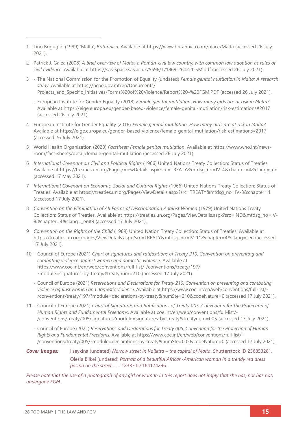- 1 Lino Briguglio (1999) 'Malta', *Britannica*. Available at [https://www.britannica.com/place/Malta](about:blank) (accessed 26 July 2021).
- 2 Patrick J. Galea (2008) *A brief overview of Malta, a Roman-civil law country, with common law adoption as rules of civil evidence*. Available at [https://sas-space.sas.ac.uk/5596/1/1869-2602-1-SM.pdf](about:blank) (accessed 26 July 2021).
- 3 The National Commission for the Promotion of Equality (undated) *Female genital mutilation in Malta: A research study*. Available at [https://ncpe.gov.mt/en/Documents/](https://ncpe.gov.mt/en/Documents/Projects_and_Specific_Initiatives/Forms%20of%20Violence/Report%20-%20FGM.PDF) Projects and Specific Initiatives/Forms%20of%20Violence/Report%20-%20FGM.PDF (accessed 26 July 2021).
	- European Institute for Gender Equality (2018) *Female genital mutilation. How many girls are at risk in Malta?* Available at [https://eige.europa.eu/gender-based-violence/female-genital-mutilation/risk-estimations#2017](about:blank) (accessed 26 July 2021).
- 4 European Institute for Gender Equality (2018) *Female genital mutilation. How many girls are at risk in Malta?*  Available at [https://eige.europa.eu/gender-based-violence/female-genital-mutilation/risk-estimations#2017](about:blank) (accessed 26 July 2021).
- 5 World Health Organization (2020) *Factsheet: Female genital mutilation*. Available at [https://www.who.int/news](https://www.who.int/news-room/fact-sheets/detail/female-genital-mutilation)[room/fact-sheets/detail/female-genital-mutilation](https://www.who.int/news-room/fact-sheets/detail/female-genital-mutilation) (accessed 28 July 2021).
- 6 *International Covenant on Civil and Political Rights* (1966) United Nations Treaty Collection: Status of Treaties*.* Available at [https://treaties.un.org/Pages/ViewDetails.aspx?src=TREATY&mtdsg\\_no=IV-4&chapter=4&clang=\\_en](https://treaties.un.org/Pages/ViewDetails.aspx?src=TREATY&mtdsg_no=IV-4&chapter=4&clang=_en) (accessed 17 May 2021).
- 7 *International Covenant on Economic, Social and Cultural Rights* (1966) United Nations Treaty Collection: Status of Treaties. Available at [https://treaties.un.org/Pages/ViewDetails.aspx?src=TREATY&mtdsg\\_no=IV-3&chapter=4](https://treaties.un.org/Pages/ViewDetails.aspx?src=TREATY&mtdsg_no=IV-3&chapter=4) (accessed 17 July 2021).
- 8 *Convention on the Elimination of All Forms of Discrimination Against Women (1979) United Nations Treaty* Collection: Status of Treaties. Available at [https://treaties.un.org/Pages/ViewDetails.aspx?src=IND&mtdsg\\_no=IV-](https://treaties.un.org/Pages/ViewDetails.aspx?src=IND&mtdsg_no=IV-8&chapter=4&clang=_en#9)[8&chapter=4&clang=\\_en#9](https://treaties.un.org/Pages/ViewDetails.aspx?src=IND&mtdsg_no=IV-8&chapter=4&clang=_en#9) (accessed 17 July 2021).
- 9 *Convention on the Rights of the Child* (1989) United Nation Treaty Collection: Status of Treaties. Available at [https://treaties.un.org/pages/ViewDetails.aspx?src=TREATY&mtdsg\\_no=IV-11&chapter=4&clang=\\_en](https://treaties.un.org/pages/ViewDetails.aspx?src=TREATY&mtdsg_no=IV-11&chapter=4&clang=_en) (accessed 17 July 2021).
- 10 Council of Europe (2021) *Chart of signatures and ratifications of Treaty 210, Convention on preventing and combating violence against women and domestic violence*. Available at [https://www.coe.int/en/web/conventions/full-list/-/conventions/treaty/197/](https://www.coe.int/en/web/conventions/full-list/-/conventions/treaty/197/?module=signatures-by-treaty&treatynum=210) [?module=signatures-by-treaty&treatynum=210](https://www.coe.int/en/web/conventions/full-list/-/conventions/treaty/197/?module=signatures-by-treaty&treatynum=210) (accessed 17 July 2021).
	- Council of Europe (2021) *Reservations and Declarations for Treaty 210, Convention on preventing and combating violence against women and domestic violence*. Available at [https://www.coe.int/en/web/conventions/full-list/-](https://www.coe.int/en/web/conventions/full-list/-/conventions/treaty/197/?module=declarations-by-treaty&numSte=210&codeNature=0) [/conventions/treaty/197/?module=declarations-by-treaty&numSte=210&codeNature=0](https://www.coe.int/en/web/conventions/full-list/-/conventions/treaty/197/?module=declarations-by-treaty&numSte=210&codeNature=0) (accessed 17 July 2021).
- 11 Council of Europe (2021) *Chart of Signatures and Ratifications of Treaty 005, Convention for the Protection of Human Rights and Fundamental Freedoms*. Available at [coe.int/en/web/conventions/full-list/-](file:///C:/Users/Danica/Documents/28%20Too%20Many%20-%20CURRENT/-%20Law%20Reports/European%20Law%20Reports%20WORKING%20FOLDER/coe.int/en/web/conventions/full-list/-/conventions/treaty/005/signatures%3fmodule=signatures-by-treaty&treatynum=005) [/conventions/treaty/005/signatures?module=signatures-by-treaty&treatynum=005](file:///C:/Users/Danica/Documents/28%20Too%20Many%20-%20CURRENT/-%20Law%20Reports/European%20Law%20Reports%20WORKING%20FOLDER/coe.int/en/web/conventions/full-list/-/conventions/treaty/005/signatures%3fmodule=signatures-by-treaty&treatynum=005) (accessed 17 July 2021).
	- Council of Europe (2021) *Reservations and Declarations for Treaty 005, Convention for the Protection of Human Rights and Fundamental Freedoms*. Available at [https://www.coe.int/en/web/conventions/full-list/-](https://www.coe.int/en/web/conventions/full-list/-/conventions/treaty/005/?module=declarations-by-treaty&numSte=005&codeNature=0) [/conventions/treaty/005/?module=declarations-by-treaty&numSte=005&codeNature=0](https://www.coe.int/en/web/conventions/full-list/-/conventions/treaty/005/?module=declarations-by-treaty&numSte=005&codeNature=0) (accessed 17 July 2021).

*Cover images:* liseykina (undated) *Narrow street in Valletta – the capital of Malta*. Shutterstock ID 256853281. Olesia Bilkei (undated) *Portrait of a beautiful African-American woman in a trendy red dress posing on the street . . .*. 123RF ID 164174296.

*Please note that the use of a photograph of any girl or woman in this report does not imply that she has, nor has not, undergone FGM.*